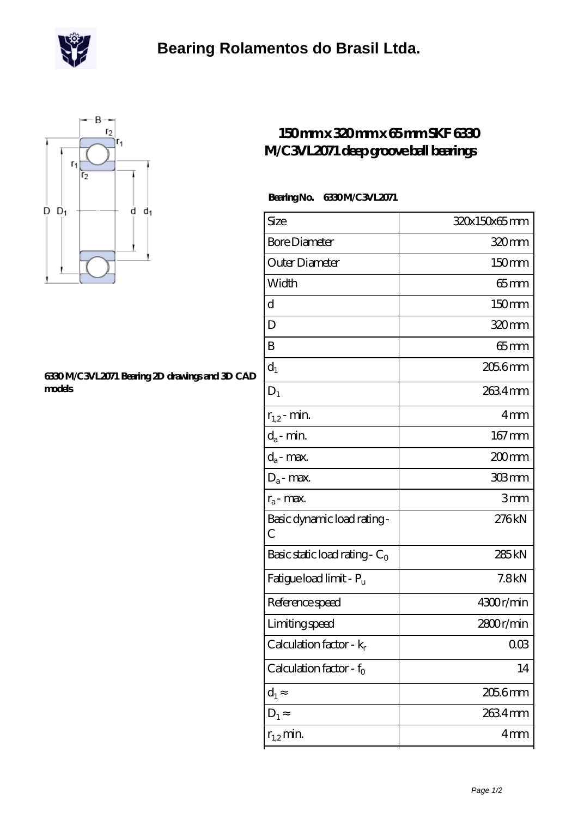

## **[Bearing Rolamentos do Brasil Ltda.](https://m.scottrobertalexander.com)**



### **[6330 M/C3VL2071 Bearing 2D drawings and 3D CAD](https://m.scottrobertalexander.com/pic-539736.html) [models](https://m.scottrobertalexander.com/pic-539736.html)**

### **[150 mm x 320 mm x 65 mm SKF 6330](https://m.scottrobertalexander.com/skf-6330-m-c3vl2071-bearing/) [M/C3VL2071 deep groove ball bearings](https://m.scottrobertalexander.com/skf-6330-m-c3vl2071-bearing/)**

#### **Bearing No. 6330 M/C3VL2071**

| Size                                        | 320x150x65mm      |
|---------------------------------------------|-------------------|
| <b>Bore Diameter</b>                        | 320mm             |
| Outer Diameter                              | 150mm             |
| Width                                       | $65$ mm           |
| d                                           | 150mm             |
| D                                           | 320 <sub>mm</sub> |
| B                                           | $65 \text{mm}$    |
| $d_1$                                       | $2056$ mm         |
| $D_1$                                       | 2634mm            |
| $r_{1,2}$ - min.                            | 4 <sub>mm</sub>   |
| $d_a$ - min.                                | 167mm             |
| $d_a$ - max.                                | 200mm             |
| $D_a$ - max.                                | 303mm             |
| $r_a$ - max.                                | 3mm               |
| Basic dynamic load rating-<br>$\mathcal{C}$ | 276kN             |
| Basic static load rating - $C_0$            | 285 <sub>kN</sub> |
| Fatigue load limit - P <sub>u</sub>         | 7.8kN             |
| Reference speed                             | 4300r/min         |
| Limiting speed                              | 2800r/min         |
| Calculation factor - $k_r$                  | 003               |
| Calculation factor - $f_0$                  | 14                |
| $d_1$                                       | $2056$ mm         |
| $D_1$                                       | 2634mm            |
| $r_{1,2}$ min.                              | 4 <sub>mm</sub>   |